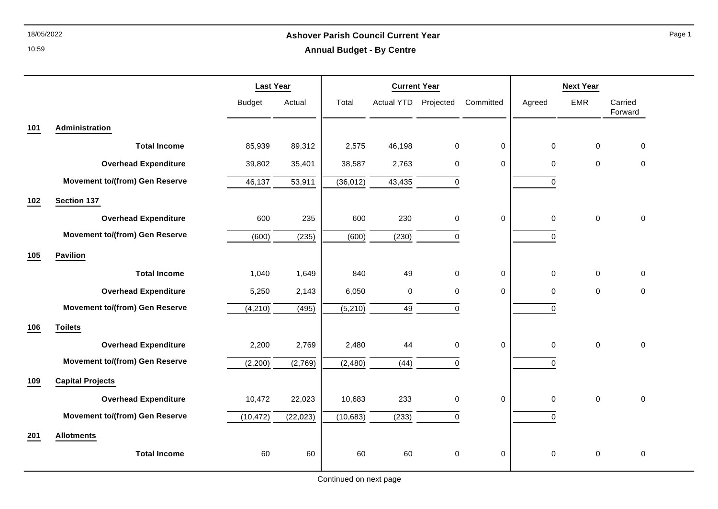10:59

## 18/05/2022 **Ashover Parish Council Current Year Annual Budget - By Centre**

Page 1

|     |                                       | <b>Last Year</b> |           | <b>Current Year</b> |                      |             |             | <b>Next Year</b> |             |                    |
|-----|---------------------------------------|------------------|-----------|---------------------|----------------------|-------------|-------------|------------------|-------------|--------------------|
|     |                                       | <b>Budget</b>    | Actual    | Total               | Actual YTD Projected |             | Committed   | Agreed           | <b>EMR</b>  | Carried<br>Forward |
| 101 | Administration                        |                  |           |                     |                      |             |             |                  |             |                    |
|     | <b>Total Income</b>                   | 85,939           | 89,312    | 2,575               | 46,198               | 0           | 0           | $\mathsf 0$      | $\mathbf 0$ | 0                  |
|     | <b>Overhead Expenditure</b>           | 39,802           | 35,401    | 38,587              | 2,763                | 0           | 0           | 0                | $\mathbf 0$ | $\mathbf 0$        |
|     | <b>Movement to/(from) Gen Reserve</b> | 46,137           | 53,911    | (36, 012)           | 43,435               | $\Omega$    |             | $\Omega$         |             |                    |
| 102 | Section 137                           |                  |           |                     |                      |             |             |                  |             |                    |
|     | <b>Overhead Expenditure</b>           | 600              | 235       | 600                 | 230                  | $\Omega$    | 0           | $\mathbf 0$      | $\mathbf 0$ | $\pmb{0}$          |
|     | <b>Movement to/(from) Gen Reserve</b> | (600)            | (235)     | (600)               | (230)                | $\Omega$    |             | $\Omega$         |             |                    |
| 105 | <b>Pavilion</b>                       |                  |           |                     |                      |             |             |                  |             |                    |
|     | <b>Total Income</b>                   | 1,040            | 1,649     | 840                 | 49                   | 0           | $\mathbf 0$ | 0                | $\mathbf 0$ | 0                  |
|     | <b>Overhead Expenditure</b>           | 5,250            | 2,143     | 6,050               | $\mathbf 0$          | $\mathbf 0$ | 0           | 0                | $\mathbf 0$ | 0                  |
|     | <b>Movement to/(from) Gen Reserve</b> | (4, 210)         | (495)     | (5,210)             | 49                   | $\mathbf 0$ |             | $\Omega$         |             |                    |
| 106 | <b>Toilets</b>                        |                  |           |                     |                      |             |             |                  |             |                    |
|     | <b>Overhead Expenditure</b>           | 2,200            | 2,769     | 2,480               | 44                   | $\Omega$    | $\pmb{0}$   | $\pmb{0}$        | $\Omega$    | $\pmb{0}$          |
|     | <b>Movement to/(from) Gen Reserve</b> | (2, 200)         | (2,769)   | (2,480)             | (44)                 | $\Omega$    |             | $\Omega$         |             |                    |
| 109 | <b>Capital Projects</b>               |                  |           |                     |                      |             |             |                  |             |                    |
|     | <b>Overhead Expenditure</b>           | 10,472           | 22,023    | 10,683              | 233                  | 0           | 0           | 0                | $\pmb{0}$   | $\pmb{0}$          |
|     | <b>Movement to/(from) Gen Reserve</b> | (10, 472)        | (22, 023) | (10, 683)           | (233)                | $\Omega$    |             | $\Omega$         |             |                    |
| 201 | <b>Allotments</b>                     |                  |           |                     |                      |             |             |                  |             |                    |
|     | <b>Total Income</b>                   | 60               | 60        | 60                  | 60                   | $\mathbf 0$ | 0           | 0                | $\mathbf 0$ | 0                  |
|     |                                       |                  |           |                     |                      |             |             |                  |             |                    |